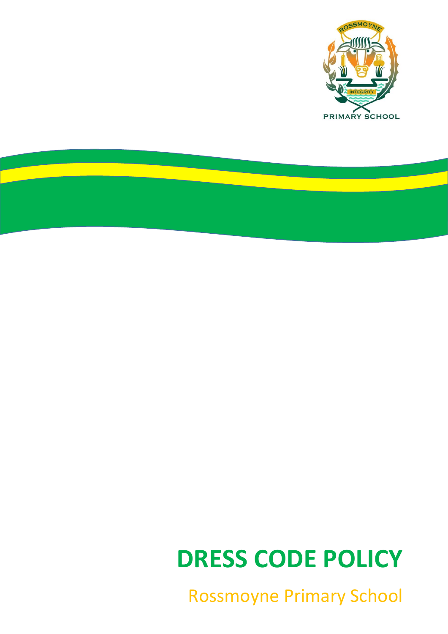

<u>anglic</u>

# **DRESS CODE POLICY**

Rossmoyne Primary School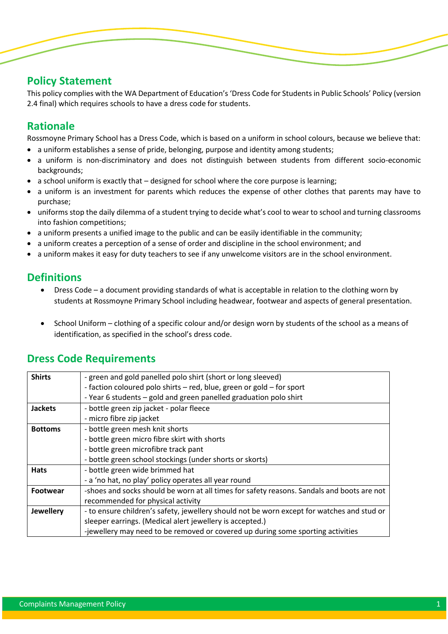# **Policy Statement**

This policy complies with the WA Department of Education's 'Dress Code for Students in Public Schools' Policy (version 2.4 final) which requires schools to have a dress code for students.

# **Rationale**

j

Rossmoyne Primary School has a Dress Code, which is based on a uniform in school colours, because we believe that:

- a uniform establishes a sense of pride, belonging, purpose and identity among students;
- a uniform is non-discriminatory and does not distinguish between students from different socio-economic backgrounds;
- $\bullet$  a school uniform is exactly that designed for school where the core purpose is learning;
- a uniform is an investment for parents which reduces the expense of other clothes that parents may have to purchase;
- uniforms stop the daily dilemma of a student trying to decide what's cool to wear to school and turning classrooms into fashion competitions;
- a uniform presents a unified image to the public and can be easily identifiable in the community;
- a uniform creates a perception of a sense of order and discipline in the school environment; and
- a uniform makes it easy for duty teachers to see if any unwelcome visitors are in the school environment.

# **Definitions**

- Dress Code a document providing standards of what is acceptable in relation to the clothing worn by students at Rossmoyne Primary School including headwear, footwear and aspects of general presentation.
- School Uniform clothing of a specific colour and/or design worn by students of the school as a means of identification, as specified in the school's dress code.

## **Dress Code Requirements**

| <b>Shirts</b>    | - green and gold panelled polo shirt (short or long sleeved)                               |  |  |
|------------------|--------------------------------------------------------------------------------------------|--|--|
|                  | - faction coloured polo shirts - red, blue, green or gold - for sport                      |  |  |
|                  | - Year 6 students - gold and green panelled graduation polo shirt                          |  |  |
| <b>Jackets</b>   | - bottle green zip jacket - polar fleece                                                   |  |  |
|                  | - micro fibre zip jacket                                                                   |  |  |
| <b>Bottoms</b>   | - bottle green mesh knit shorts                                                            |  |  |
|                  | - bottle green micro fibre skirt with shorts                                               |  |  |
|                  | - bottle green microfibre track pant                                                       |  |  |
|                  | - bottle green school stockings (under shorts or skorts)                                   |  |  |
| <b>Hats</b>      | - bottle green wide brimmed hat                                                            |  |  |
|                  | - a 'no hat, no play' policy operates all year round                                       |  |  |
| Footwear         | -shoes and socks should be worn at all times for safety reasons. Sandals and boots are not |  |  |
|                  | recommended for physical activity                                                          |  |  |
| <b>Jewellery</b> | - to ensure children's safety, jewellery should not be worn except for watches and stud or |  |  |
|                  | sleeper earrings. (Medical alert jewellery is accepted.)                                   |  |  |
|                  | -jewellery may need to be removed or covered up during some sporting activities            |  |  |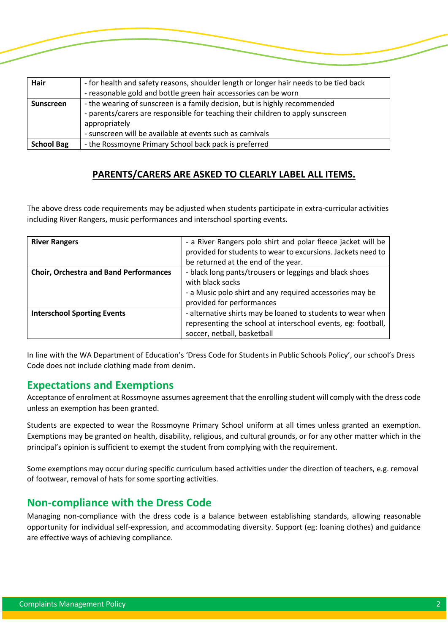| Hair              | - for health and safety reasons, shoulder length or longer hair needs to be tied back<br>- reasonable gold and bottle green hair accessories can be worn                                                                                    |
|-------------------|---------------------------------------------------------------------------------------------------------------------------------------------------------------------------------------------------------------------------------------------|
| <b>Sunscreen</b>  | - the wearing of sunscreen is a family decision, but is highly recommended<br>- parents/carers are responsible for teaching their children to apply sunscreen<br>appropriately<br>- sunscreen will be available at events such as carnivals |
| <b>School Bag</b> | - the Rossmoyne Primary School back pack is preferred                                                                                                                                                                                       |

#### **PARENTS/CARERS ARE ASKED TO CLEARLY LABEL ALL ITEMS.**

The above dress code requirements may be adjusted when students participate in extra-curricular activities including River Rangers, music performances and interschool sporting events.

| <b>River Rangers</b>                          | - a River Rangers polo shirt and polar fleece jacket will be<br>provided for students to wear to excursions. Jackets need to<br>be returned at the end of the year.  |
|-----------------------------------------------|----------------------------------------------------------------------------------------------------------------------------------------------------------------------|
| <b>Choir, Orchestra and Band Performances</b> | - black long pants/trousers or leggings and black shoes<br>with black socks<br>- a Music polo shirt and any required accessories may be<br>provided for performances |
| <b>Interschool Sporting Events</b>            | - alternative shirts may be loaned to students to wear when<br>representing the school at interschool events, eg: football,<br>soccer, netball, basketball           |

In line with the WA Department of Education's 'Dress Code for Students in Public Schools Policy', our school's Dress Code does not include clothing made from denim.

#### **Expectations and Exemptions**

j

Acceptance of enrolment at Rossmoyne assumes agreement that the enrolling student will comply with the dress code unless an exemption has been granted.

Students are expected to wear the Rossmoyne Primary School uniform at all times unless granted an exemption. Exemptions may be granted on health, disability, religious, and cultural grounds, or for any other matter which in the principal's opinion is sufficient to exempt the student from complying with the requirement.

Some exemptions may occur during specific curriculum based activities under the direction of teachers, e.g. removal of footwear, removal of hats for some sporting activities.

## **Non-compliance with the Dress Code**

Managing non-compliance with the dress code is a balance between establishing standards, allowing reasonable opportunity for individual self-expression, and accommodating diversity. Support (eg: loaning clothes) and guidance are effective ways of achieving compliance.